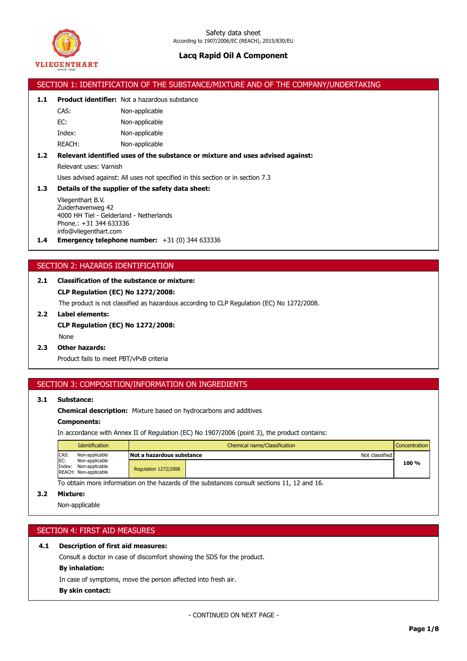

|       |                                                                                | SECTION 1: IDENTIFICATION OF THE SUBSTANCE/MIXTURE AND OF THE COMPANY/UNDERTAKING |  |  |  |
|-------|--------------------------------------------------------------------------------|-----------------------------------------------------------------------------------|--|--|--|
| 1.1   |                                                                                | <b>Product identifier:</b> Not a hazardous substance                              |  |  |  |
|       | CAS:                                                                           | Non-applicable                                                                    |  |  |  |
|       | EC:                                                                            | Non-applicable                                                                    |  |  |  |
|       | Index:                                                                         | Non-applicable                                                                    |  |  |  |
|       | REACH:                                                                         | Non-applicable                                                                    |  |  |  |
| $1.2$ |                                                                                | Relevant identified uses of the substance or mixture and uses advised against:    |  |  |  |
|       | Relevant uses: Varnish                                                         |                                                                                   |  |  |  |
|       | Uses advised against: All uses not specified in this section or in section 7.3 |                                                                                   |  |  |  |
| 1.3   | Details of the supplier of the safety data sheet:                              |                                                                                   |  |  |  |
|       | Vliegenthart B.V.                                                              |                                                                                   |  |  |  |
|       | Zuiderhavenweg 42<br>4000 HH Tiel - Gelderland - Netherlands                   |                                                                                   |  |  |  |
|       | Phone.: +31 344 633336                                                         |                                                                                   |  |  |  |
|       | info@vliegenthart.com                                                          |                                                                                   |  |  |  |
| 1.4   |                                                                                | <b>Emergency telephone number:</b> $+31$ (0) 344 633336                           |  |  |  |
|       |                                                                                |                                                                                   |  |  |  |
|       | SECTION 2: HAZARDS IDENTIFICATION                                              |                                                                                   |  |  |  |
| 2.1   | <b>Classification of the substance or mixture:</b>                             |                                                                                   |  |  |  |

**CLP Regulation (EC) No 1272/2008:**

The product is not classified as hazardous according to CLP Regulation (EC) No 1272/2008.

- **2.2 Label elements: CLP Regulation (EC) No 1272/2008:** None
- **2.3 Other hazards:**

Product fails to meet PBT/vPvB criteria

### SECTION 3: COMPOSITION/INFORMATION ON INGREDIENTS

### **3.1 Substance:**

**Chemical description:** Mixture based on hydrocarbons and additives

#### **Components:**

In accordance with Annex II of Regulation (EC) No 1907/2006 (point 3), the product contains:

|             | Identification                                                                     | Chemical name/Classification<br><b>Concentration</b> |                |       |
|-------------|------------------------------------------------------------------------------------|------------------------------------------------------|----------------|-------|
| CAS:<br>EC: | Non-applicable<br>Non-applicable<br>Index: Non-applicable<br>REACH: Non-applicable | Not a hazardous substance                            | Not classified |       |
|             |                                                                                    | <b>Regulation 1272/2008</b>                          |                | 100 % |

To obtain more information on the hazards of the substances consult sections 11, 12 and 16.

### **3.2 Mixture:**

Non-applicable

## SECTION 4: FIRST AID MEASURES

### **4.1 Description of first aid measures:**

Consult a doctor in case of discomfort showing the SDS for the product.

### **By inhalation:**

In case of symptoms, move the person affected into fresh air.

#### **By skin contact:**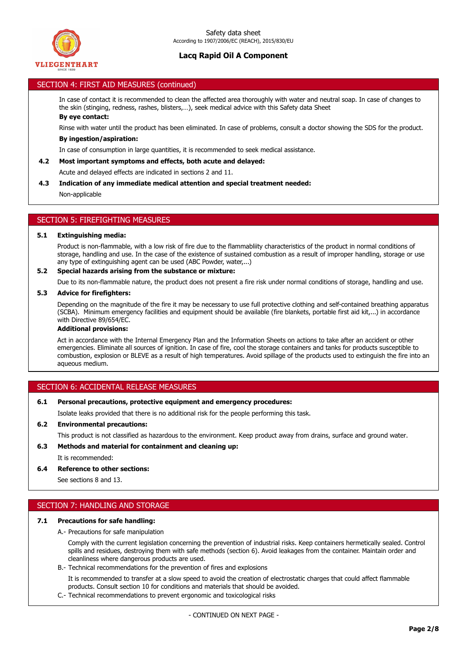

### SECTION 4: FIRST AID MEASURES (continued)

In case of contact it is recommended to clean the affected area thoroughly with water and neutral soap. In case of changes to the skin (stinging, redness, rashes, blisters,…), seek medical advice with this Safety data Sheet **By eye contact:**

Rinse with water until the product has been eliminated. In case of problems, consult a doctor showing the SDS for the product.

#### **By ingestion/aspiration:**

In case of consumption in large quantities, it is recommended to seek medical assistance.

#### **4.2 Most important symptoms and effects, both acute and delayed:**

Acute and delayed effects are indicated in sections 2 and 11.

**4.3 Indication of any immediate medical attention and special treatment needed:**

Non-applicable

### SECTION 5: FIREFIGHTING MEASURES

#### **5.1 Extinguishing media:**

Product is non-flammable, with a low risk of fire due to the flammabliity characteristics of the product in normal conditions of storage, handling and use. In the case of the existence of sustained combustion as a result of improper handling, storage or use any type of extinguishing agent can be used (ABC Powder, water,...)

#### **5.2 Special hazards arising from the substance or mixture:**

Due to its non-flammable nature, the product does not present a fire risk under normal conditions of storage, handling and use.

#### **5.3 Advice for firefighters:**

Depending on the magnitude of the fire it may be necessary to use full protective clothing and self-contained breathing apparatus (SCBA). Minimum emergency facilities and equipment should be available (fire blankets, portable first aid kit,...) in accordance with Directive 89/654/EC.

#### **Additional provisions:**

Act in accordance with the Internal Emergency Plan and the Information Sheets on actions to take after an accident or other emergencies. Eliminate all sources of ignition. In case of fire, cool the storage containers and tanks for products susceptible to combustion, explosion or BLEVE as a result of high temperatures. Avoid spillage of the products used to extinguish the fire into an aqueous medium.

### SECTION 6: ACCIDENTAL RELEASE MEASURES

### **6.1 Personal precautions, protective equipment and emergency procedures:**

Isolate leaks provided that there is no additional risk for the people performing this task.

### **6.2 Environmental precautions:**

This product is not classified as hazardous to the environment. Keep product away from drains, surface and ground water.

### **6.3 Methods and material for containment and cleaning up:**

It is recommended:

### **6.4 Reference to other sections:**

See sections 8 and 13.

### SECTION 7: HANDLING AND STORAGE

## **7.1 Precautions for safe handling:**

A.- Precautions for safe manipulation

Comply with the current legislation concerning the prevention of industrial risks. Keep containers hermetically sealed. Control spills and residues, destroying them with safe methods (section 6). Avoid leakages from the container. Maintain order and cleanliness where dangerous products are used.

B.- Technical recommendations for the prevention of fires and explosions

It is recommended to transfer at a slow speed to avoid the creation of electrostatic charges that could affect flammable products. Consult section 10 for conditions and materials that should be avoided.

C.- Technical recommendations to prevent ergonomic and toxicological risks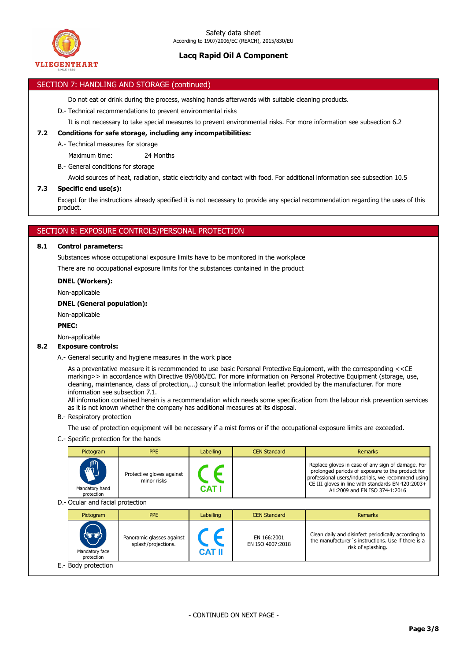

### SECTION 7: HANDLING AND STORAGE (continued)

Do not eat or drink during the process, washing hands afterwards with suitable cleaning products.

- D.- Technical recommendations to prevent environmental risks
	- It is not necessary to take special measures to prevent environmental risks. For more information see subsection 6.2

### **7.2 Conditions for safe storage, including any incompatibilities:**

A.- Technical measures for storage

Maximum time: 24 Months

B.- General conditions for storage

Avoid sources of heat, radiation, static electricity and contact with food. For additional information see subsection 10.5

#### **7.3 Specific end use(s):**

Except for the instructions already specified it is not necessary to provide any special recommendation regarding the uses of this product.

### SECTION 8: EXPOSURE CONTROLS/PERSONAL PROTECTION

#### **8.1 Control parameters:**

Substances whose occupational exposure limits have to be monitored in the workplace There are no occupational exposure limits for the substances contained in the product

#### **DNEL (Workers):**

Non-applicable

#### **DNEL (General population):**

Non-applicable

### **PNEC:**

Non-applicable

### **8.2 Exposure controls:**

A.- General security and hygiene measures in the work place

As a preventative measure it is recommended to use basic Personal Protective Equipment, with the corresponding <<CE marking>> in accordance with Directive 89/686/EC. For more information on Personal Protective Equipment (storage, use, cleaning, maintenance, class of protection,…) consult the information leaflet provided by the manufacturer. For more information see subsection 7.1.

All information contained herein is a recommendation which needs some specification from the labour risk prevention services as it is not known whether the company has additional measures at its disposal.

B.- Respiratory protection

The use of protection equipment will be necessary if a mist forms or if the occupational exposure limits are exceeded.

C.- Specific protection for the hands

|                                  | Pictogram                            | <b>PPE</b>                                       | Labelling     | <b>CEN Standard</b>             | <b>Remarks</b>                                                                                                                                                                                                                                    |
|----------------------------------|--------------------------------------|--------------------------------------------------|---------------|---------------------------------|---------------------------------------------------------------------------------------------------------------------------------------------------------------------------------------------------------------------------------------------------|
|                                  | Mandatory hand<br>protection         | Protective gloves against<br>minor risks         | <b>CAT</b>    |                                 | Replace gloves in case of any sign of damage. For<br>prolonged periods of exposure to the product for<br>professional users/industrials, we recommend using<br>CE III gloves in line with standards EN 420:2003+<br>A1:2009 and EN ISO 374-1:2016 |
| D.- Ocular and facial protection |                                      |                                                  |               |                                 |                                                                                                                                                                                                                                                   |
|                                  | Pictogram                            | <b>PPE</b>                                       | Labelling     | <b>CEN Standard</b>             | <b>Remarks</b>                                                                                                                                                                                                                                    |
|                                  | `ū*o<br>Mandatory face<br>protection | Panoramic glasses against<br>splash/projections. | <b>CAT II</b> | EN 166:2001<br>EN ISO 4007:2018 | Clean daily and disinfect periodically according to<br>the manufacturer's instructions. Use if there is a<br>risk of splashing.                                                                                                                   |
|                                  | E.- Body protection                  |                                                  |               |                                 |                                                                                                                                                                                                                                                   |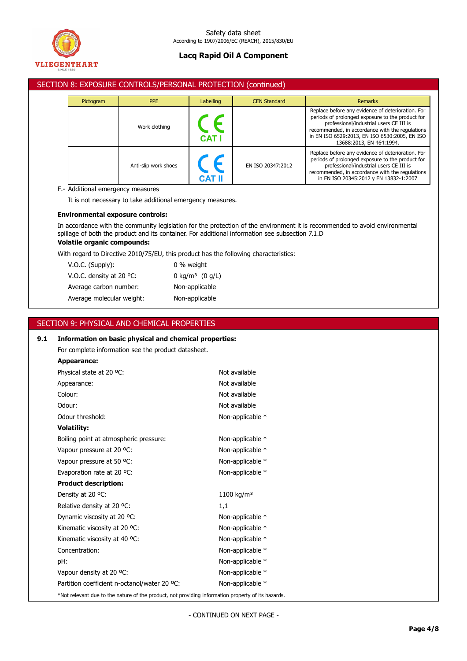

### SECTION 8: EXPOSURE CONTROLS/PERSONAL PROTECTION (continued)

| <b>PPE</b><br>Pictogram |  |                      | Labelling  | <b>CEN Standard</b> | <b>Remarks</b>                                                                                                                                                                                                                                                                   |
|-------------------------|--|----------------------|------------|---------------------|----------------------------------------------------------------------------------------------------------------------------------------------------------------------------------------------------------------------------------------------------------------------------------|
|                         |  | Work clothing        | <b>CAT</b> |                     | Replace before any evidence of deterioration. For<br>periods of prolonged exposure to the product for<br>professional/industrial users CE III is<br>recommended, in accordance with the regulations<br>in EN ISO 6529:2013, EN ISO 6530:2005, EN ISO<br>13688:2013, EN 464:1994. |
|                         |  | Anti-slip work shoes |            | EN ISO 20347:2012   | Replace before any evidence of deterioration. For<br>periods of prolonged exposure to the product for<br>professional/industrial users CE III is<br>recommended, in accordance with the regulations<br>in EN ISO 20345:2012 y EN 13832-1:2007                                    |

### F.- Additional emergency measures

It is not necessary to take additional emergency measures.

### **Environmental exposure controls:**

In accordance with the community legislation for the protection of the environment it is recommended to avoid environmental spillage of both the product and its container. For additional information see subsection 7.1.D

# **Volatile organic compounds:**

With regard to Directive 2010/75/EU, this product has the following characteristics:

| V.O.C. (Supply):                   | 0 % weight                    |
|------------------------------------|-------------------------------|
| V.O.C. density at 20 $^{\circ}$ C: | 0 kg/m <sup>3</sup> $(0 g/L)$ |
| Average carbon number:             | Non-applicable                |
| Average molecular weight:          | Non-applicable                |
|                                    |                               |

## SECTION 9: PHYSICAL AND CHEMICAL PROPERTIES

| 9.1 | Information on basic physical and chemical properties:                                             |                        |  |  |
|-----|----------------------------------------------------------------------------------------------------|------------------------|--|--|
|     | For complete information see the product datasheet.                                                |                        |  |  |
|     | Appearance:                                                                                        |                        |  |  |
|     | Physical state at 20 °C:                                                                           | Not available          |  |  |
|     | Appearance:                                                                                        | Not available          |  |  |
|     | Colour:                                                                                            | Not available          |  |  |
|     | Odour:                                                                                             | Not available          |  |  |
|     | Odour threshold:                                                                                   | Non-applicable *       |  |  |
|     | <b>Volatility:</b>                                                                                 |                        |  |  |
|     | Boiling point at atmospheric pressure:                                                             | Non-applicable *       |  |  |
|     | Vapour pressure at 20 °C:                                                                          | Non-applicable *       |  |  |
|     | Vapour pressure at 50 °C:                                                                          | Non-applicable *       |  |  |
|     | Evaporation rate at 20 °C:                                                                         | Non-applicable *       |  |  |
|     | <b>Product description:</b>                                                                        |                        |  |  |
|     | Density at 20 °C:                                                                                  | 1100 kg/m <sup>3</sup> |  |  |
|     | Relative density at 20 °C:                                                                         | 1,1                    |  |  |
|     | Dynamic viscosity at 20 °C:                                                                        | Non-applicable *       |  |  |
|     | Kinematic viscosity at 20 °C:                                                                      | Non-applicable *       |  |  |
|     | Kinematic viscosity at 40 °C:                                                                      | Non-applicable *       |  |  |
|     | Concentration:                                                                                     | Non-applicable *       |  |  |
|     | pH:                                                                                                | Non-applicable *       |  |  |
|     | Vapour density at 20 °C:                                                                           | Non-applicable *       |  |  |
|     | Partition coefficient n-octanol/water 20 °C:                                                       | Non-applicable *       |  |  |
|     | *Not relevant due to the nature of the product, not providing information property of its hazards. |                        |  |  |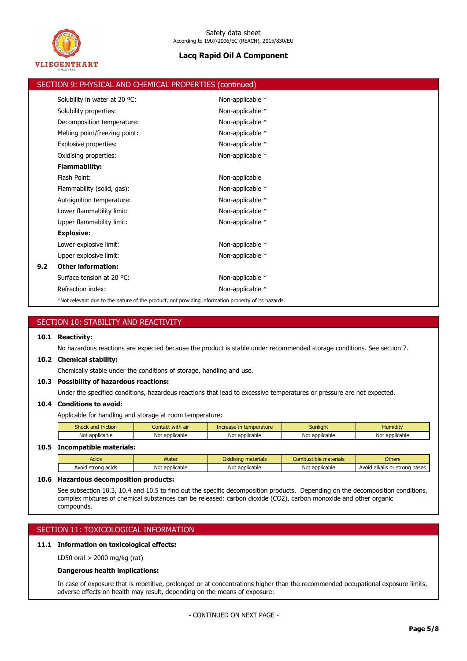

|     | SECTION 9: PHYSICAL AND CHEMICAL PROPERTIES (continued)                                            |                  |
|-----|----------------------------------------------------------------------------------------------------|------------------|
|     | Solubility in water at 20 °C:                                                                      | Non-applicable * |
|     | Solubility properties:                                                                             | Non-applicable * |
|     | Decomposition temperature:                                                                         | Non-applicable * |
|     | Melting point/freezing point:                                                                      | Non-applicable * |
|     | Explosive properties:                                                                              | Non-applicable * |
|     | Oxidising properties:                                                                              | Non-applicable * |
|     | <b>Flammability:</b>                                                                               |                  |
|     | Flash Point:                                                                                       | Non-applicable   |
|     | Flammability (solid, gas):                                                                         | Non-applicable * |
|     | Autoignition temperature:                                                                          | Non-applicable * |
|     | Lower flammability limit:                                                                          | Non-applicable * |
|     | Upper flammability limit:                                                                          | Non-applicable * |
|     | <b>Explosive:</b>                                                                                  |                  |
|     | Lower explosive limit:                                                                             | Non-applicable * |
|     | Upper explosive limit:                                                                             | Non-applicable * |
| 9.2 | <b>Other information:</b>                                                                          |                  |
|     | Surface tension at 20 °C:                                                                          | Non-applicable * |
|     | Refraction index:                                                                                  | Non-applicable * |
|     | *Not relevant due to the nature of the product, not providing information property of its hazards. |                  |

|      | SECTION 10: STABILITY AND REACTIVITY                                                                                   |                  |                         |                       |                               |  |  |
|------|------------------------------------------------------------------------------------------------------------------------|------------------|-------------------------|-----------------------|-------------------------------|--|--|
| 10.1 | <b>Reactivity:</b>                                                                                                     |                  |                         |                       |                               |  |  |
|      | No hazardous reactions are expected because the product is stable under recommended storage conditions. See section 7. |                  |                         |                       |                               |  |  |
|      | 10.2 Chemical stability:                                                                                               |                  |                         |                       |                               |  |  |
|      | Chemically stable under the conditions of storage, handling and use.                                                   |                  |                         |                       |                               |  |  |
|      | 10.3 Possibility of hazardous reactions:                                                                               |                  |                         |                       |                               |  |  |
|      | Under the specified conditions, hazardous reactions that lead to excessive temperatures or pressure are not expected.  |                  |                         |                       |                               |  |  |
| 10.4 | <b>Conditions to avoid:</b>                                                                                            |                  |                         |                       |                               |  |  |
|      | Applicable for handling and storage at room temperature:                                                               |                  |                         |                       |                               |  |  |
|      | Shock and friction                                                                                                     | Contact with air | Increase in temperature | <b>Sunlight</b>       | <b>Humidity</b>               |  |  |
|      | Not applicable<br>Not applicable<br>Not applicable<br>Not applicable<br>Not applicable                                 |                  |                         |                       |                               |  |  |
| 10.5 | <b>Incompatible materials:</b>                                                                                         |                  |                         |                       |                               |  |  |
|      | <b>Acids</b>                                                                                                           | Water            | Oxidising materials     | Combustible materials | <b>Others</b>                 |  |  |
|      | Avoid strong acids                                                                                                     | Not applicable   | Not applicable          | Not applicable        | Avoid alkalis or strong bases |  |  |

### **10.6 Hazardous decomposition products:**

See subsection 10.3, 10.4 and 10.5 to find out the specific decomposition products. Depending on the decomposition conditions, complex mixtures of chemical substances can be released: carbon dioxide (CO2), carbon monoxide and other organic compounds.

# SECTION 11: TOXICOLOGICAL INFORMATION

# **11.1 Information on toxicological effects:**

LD50 oral > 2000 mg/kg (rat)

### **Dangerous health implications:**

In case of exposure that is repetitive, prolonged or at concentrations higher than the recommended occupational exposure limits, adverse effects on health may result, depending on the means of exposure: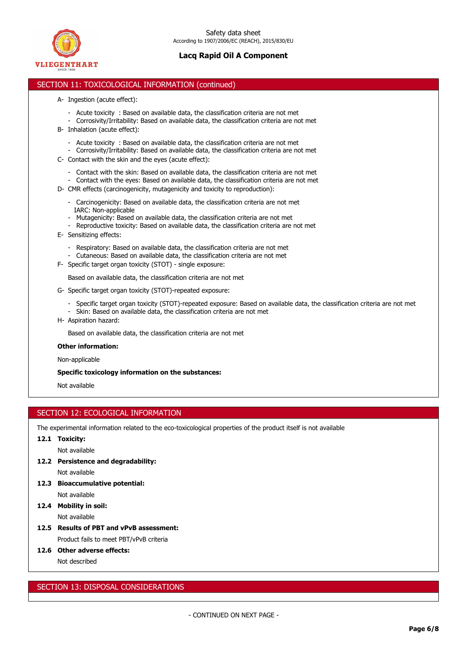

### SECTION 11: TOXICOLOGICAL INFORMATION (continued)

- A- Ingestion (acute effect):
	- Acute toxicity : Based on available data, the classification criteria are not met
	- Corrosivity/Irritability: Based on available data, the classification criteria are not met
- B- Inhalation (acute effect):
	- Acute toxicity : Based on available data, the classification criteria are not met
- Corrosivity/Irritability: Based on available data, the classification criteria are not met C- Contact with the skin and the eyes (acute effect):
	- Contact with the skin: Based on available data, the classification criteria are not met
	- Contact with the eyes: Based on available data, the classification criteria are not met
- D- CMR effects (carcinogenicity, mutagenicity and toxicity to reproduction):
	- Carcinogenicity: Based on available data, the classification criteria are not met IARC: Non-applicable
	- Mutagenicity: Based on available data, the classification criteria are not met
	- Reproductive toxicity: Based on available data, the classification criteria are not met
- E- Sensitizing effects:
	- Respiratory: Based on available data, the classification criteria are not met
	- Cutaneous: Based on available data, the classification criteria are not met
- F- Specific target organ toxicity (STOT) single exposure:

Based on available data, the classification criteria are not met

- G- Specific target organ toxicity (STOT)-repeated exposure:
	- Specific target organ toxicity (STOT)-repeated exposure: Based on available data, the classification criteria are not met
	- Skin: Based on available data, the classification criteria are not met
- H- Aspiration hazard:

Based on available data, the classification criteria are not met

#### **Other information:**

Non-applicable

#### **Specific toxicology information on the substances:**

Not available

### SECTION 12: ECOLOGICAL INFORMATION

The experimental information related to the eco-toxicological properties of the product itself is not available

**12.1 Toxicity:**

Not available

- **12.2 Persistence and degradability:** Not available
- **12.3 Bioaccumulative potential:** Not available
- **12.4 Mobility in soil:** Not available
- **12.5 Results of PBT and vPvB assessment:** Product fails to meet PBT/vPvB criteria
- **12.6 Other adverse effects:**

Not described

### SECTION 13: DISPOSAL CONSIDERATIONS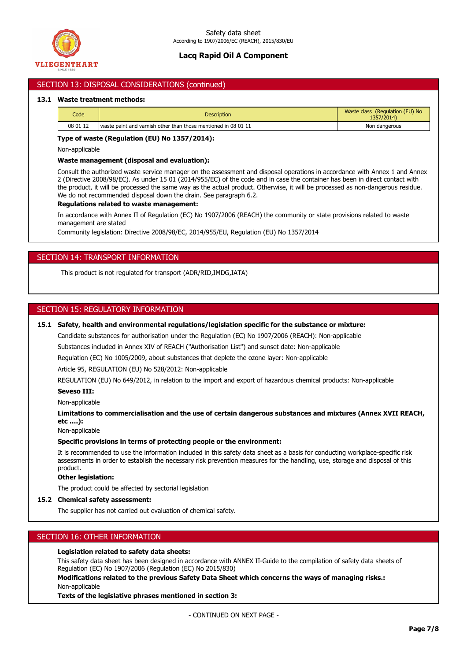

### SECTION 13: DISPOSAL CONSIDERATIONS (continued)

#### **13.1 Waste treatment methods:**

| Code     | <b>Description</b>                                             | Waste class (Regulation (EU) No<br>1357/2014) |
|----------|----------------------------------------------------------------|-----------------------------------------------|
| 08 01 12 | waste paint and varnish other than those mentioned in 08 01 11 | Non dangerous                                 |

#### **Type of waste (Regulation (EU) No 1357/2014):**

Non-applicable

#### **Waste management (disposal and evaluation):**

Consult the authorized waste service manager on the assessment and disposal operations in accordance with Annex 1 and Annex 2 (Directive 2008/98/EC). As under 15 01 (2014/955/EC) of the code and in case the container has been in direct contact with the product, it will be processed the same way as the actual product. Otherwise, it will be processed as non-dangerous residue. We do not recommended disposal down the drain. See paragraph 6.2.

#### **Regulations related to waste management:**

In accordance with Annex II of Regulation (EC) No 1907/2006 (REACH) the community or state provisions related to waste management are stated

Community legislation: Directive 2008/98/EC, 2014/955/EU, Regulation (EU) No 1357/2014

### SECTION 14: TRANSPORT INFORMATION

This product is not regulated for transport (ADR/RID,IMDG,IATA)

### SECTION 15: REGULATORY INFORMATION

### **15.1 Safety, health and environmental regulations/legislation specific for the substance or mixture:**

Candidate substances for authorisation under the Regulation (EC) No 1907/2006 (REACH): Non-applicable

Substances included in Annex XIV of REACH ("Authorisation List") and sunset date: Non-applicable

Regulation (EC) No 1005/2009, about substances that deplete the ozone layer: Non-applicable

Article 95, REGULATION (EU) No 528/2012: Non-applicable

REGULATION (EU) No 649/2012, in relation to the import and export of hazardous chemical products: Non-applicable

#### **Seveso III:**

Non-applicable

**Limitations to commercialisation and the use of certain dangerous substances and mixtures (Annex XVII REACH, etc ….):**

Non-applicable

### **Specific provisions in terms of protecting people or the environment:**

It is recommended to use the information included in this safety data sheet as a basis for conducting workplace-specific risk assessments in order to establish the necessary risk prevention measures for the handling, use, storage and disposal of this product.

#### **Other legislation:**

The product could be affected by sectorial legislation

#### **15.2 Chemical safety assessment:**

The supplier has not carried out evaluation of chemical safety.

### SECTION 16: OTHER INFORMATION

#### **Legislation related to safety data sheets:**

This safety data sheet has been designed in accordance with ANNEX II-Guide to the compilation of safety data sheets of Regulation (EC) No 1907/2006 (Regulation (EC) No 2015/830)

**Modifications related to the previous Safety Data Sheet which concerns the ways of managing risks.:** Non-applicable

**Texts of the legislative phrases mentioned in section 3:**